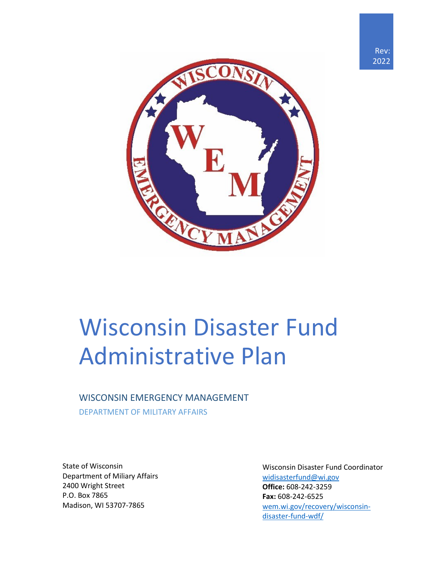



# Wisconsin Disaster Fund Administrative Plan

#### WISCONSIN EMERGENCY MANAGEMENT

DEPARTMENT OF MILITARY AFFAIRS

State of Wisconsin Department of Miliary Affairs 2400 Wright Street P.O. Box 7865 Madison, WI 53707-7865

Wisconsin Disaster Fund Coordinator [widisasterfund@wi.gov](mailto:widisasterfund@wi.gov) **Office:** 608-242-3259 **Fax:** 608-242-6525 [wem.wi.gov/recovery/wisconsin](https://wem.wi.gov/recovery/wisconsin-disaster-fund-wdf/)[disaster-fund-wdf/](https://wem.wi.gov/recovery/wisconsin-disaster-fund-wdf/)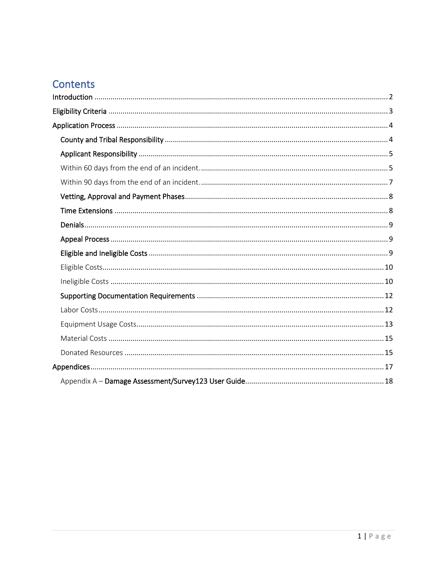## Contents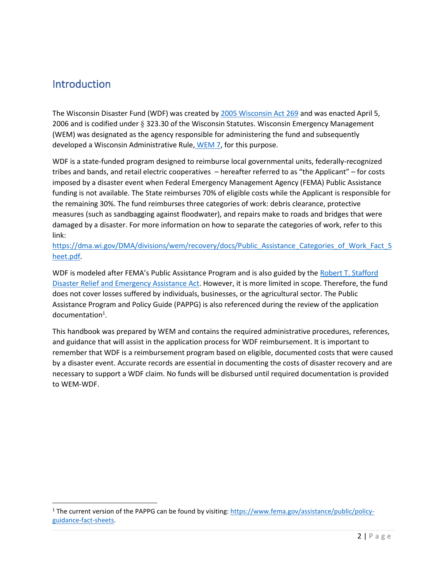### <span id="page-2-0"></span>Introduction

The Wisconsin Disaster Fund (WDF) was created by [2005 Wisconsin Act 269](https://docs.legis.wisconsin.gov/2005/related/acts/269) and was enacted April 5, 2006 and is codified under § 323.30 of the Wisconsin Statutes. Wisconsin Emergency Management (WEM) was designated as the agency responsible for administering the fund and subsequently developed a Wisconsin Administrative Rule, [WEM 7,](https://docs.legis.wisconsin.gov/code/admin_code/wem/7) for this purpose.

WDF is a state-funded program designed to reimburse local governmental units, federally-recognized tribes and bands, and retail electric cooperatives – hereafter referred to as "the Applicant" – for costs imposed by a disaster event when Federal Emergency Management Agency (FEMA) Public Assistance funding is not available. The State reimburses 70% of eligible costs while the Applicant is responsible for the remaining 30%. The fund reimburses three categories of work: debris clearance, protective measures (such as sandbagging against floodwater), and repairs make to roads and bridges that were damaged by a disaster. For more information on how to separate the categories of work, refer to this link:

[https://dma.wi.gov/DMA/divisions/wem/recovery/docs/Public\\_Assistance\\_Categories\\_of\\_Work\\_Fact\\_S](https://dma.wi.gov/DMA/divisions/wem/recovery/docs/Public_Assistance_Categories_of_Work_Fact_Sheet.pdf) [heet.pdf.](https://dma.wi.gov/DMA/divisions/wem/recovery/docs/Public_Assistance_Categories_of_Work_Fact_Sheet.pdf)

WDF is modeled after FEMA's Public Assistance Program and is also guided by the Robert T. Stafford [Disaster Relief and Emergency Assistance Act.](https://www.fema.gov/media-library-data/1519395888776-af5f95a1a9237302af7e3fd5b0d07d71/StaffordAct.pdf) However, it is more limited in scope. Therefore, the fund does not cover losses suffered by individuals, businesses, or the agricultural sector. The Public Assistance Program and Policy Guide (PAPPG) is also referenced during the review of the application documentation<sup>1</sup>.

This handbook was prepared by WEM and contains the required administrative procedures, references, and guidance that will assist in the application process for WDF reimbursement. It is important to remember that WDF is a reimbursement program based on eligible, documented costs that were caused by a disaster event. Accurate records are essential in documenting the costs of disaster recovery and are necessary to support a WDF claim. No funds will be disbursed until required documentation is provided to WEM-WDF.

<sup>&</sup>lt;sup>1</sup> The current version of the PAPPG can be found by visiting[: https://www.fema.gov/assistance/public/policy](https://www.fema.gov/assistance/public/policy-guidance-fact-sheets)[guidance-fact-sheets.](https://www.fema.gov/assistance/public/policy-guidance-fact-sheets)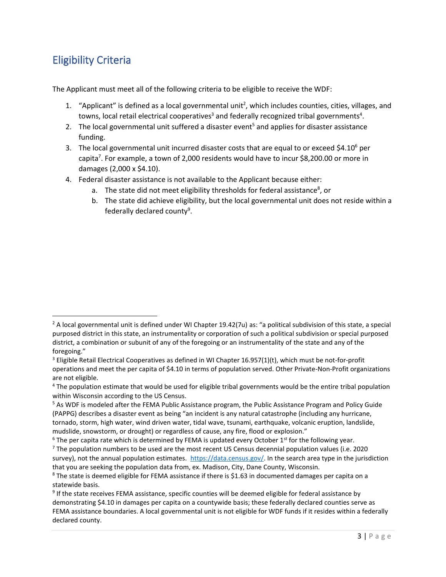## <span id="page-3-0"></span>Eligibility Criteria

The Applicant must meet all of the following criteria to be eligible to receive the WDF:

- 1. "Applicant" is defined as a local governmental unit<sup>2</sup>, which includes counties, cities, villages, and towns, local retail electrical cooperatives<sup>3</sup> and federally recognized tribal governments<sup>4</sup>.
- 2. The local governmental unit suffered a disaster event<sup>5</sup> and applies for disaster assistance funding.
- 3. The local governmental unit incurred disaster costs that are equal to or exceed  $$4.10^6$  per capita<sup>7</sup>. For example, a town of 2,000 residents would have to incur \$8,200.00 or more in damages (2,000 x \$4.10).
- 4. Federal disaster assistance is not available to the Applicant because either:
	- a. The state did not meet eligibility thresholds for federal assistance<sup>8</sup>, or
	- b. The state did achieve eligibility, but the local governmental unit does not reside within a federally declared county<sup>9</sup>.

 $2$  A local governmental unit is defined under WI Chapter 19.42(7u) as: "a political subdivision of this state, a special purposed district in this state, an instrumentality or corporation of such a political subdivision or special purposed district, a combination or subunit of any of the foregoing or an instrumentality of the state and any of the foregoing."

<sup>&</sup>lt;sup>3</sup> Eligible Retail Electrical Cooperatives as defined in WI Chapter 16.957(1)(t), which must be not-for-profit operations and meet the per capita of \$4.10 in terms of population served. Other Private-Non-Profit organizations are not eligible.

<sup>4</sup> The population estimate that would be used for eligible tribal governments would be the entire tribal population within Wisconsin according to the US Census.

<sup>5</sup> As WDF is modeled after the FEMA Public Assistance program, the Public Assistance Program and Policy Guide (PAPPG) describes a disaster event as being "an incident is any natural catastrophe (including any hurricane, tornado, storm, high water, wind driven water, tidal wave, tsunami, earthquake, volcanic eruption, landslide, mudslide, snowstorm, or drought) or regardless of cause, any fire, flood or explosion."

 $6$  The per capita rate which is determined by FEMA is updated every October 1<sup>st</sup> for the following year.

 $7$  The population numbers to be used are the most recent US Census decennial population values (i.e. 2020 survey), not the annual population estimates. [https://data.census.gov/.](https://data.census.gov/) In the search area type in the jurisdiction that you are seeking the population data from, ex. Madison, City, Dane County, Wisconsin. <sup>8</sup> The state is deemed eligible for FEMA assistance if there is \$1.63 in documented damages per capita on a

statewide basis.

<sup>&</sup>lt;sup>9</sup> If the state receives FEMA assistance, specific counties will be deemed eligible for federal assistance by demonstrating \$4.10 in damages per capita on a countywide basis; these federally declared counties serve as FEMA assistance boundaries. A local governmental unit is not eligible for WDF funds if it resides within a federally declared county.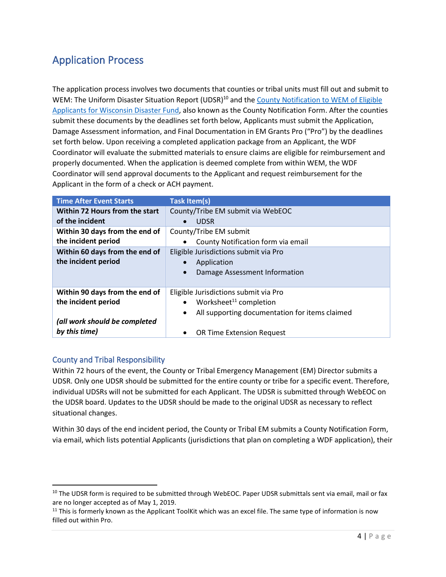## <span id="page-4-0"></span>Application Process

The application process involves two documents that counties or tribal units must fill out and submit to WEM: The Uniform Disaster Situation Report (UDSR)<sup>10</sup> and the [County Notification](https://wem.wi.gov/wp-content/library/recovery/County_Notification_Form_Jan_2022.xlsx) to WEM of Eligible [Applicants for Wisconsin Disaster Fund,](https://wem.wi.gov/wp-content/library/recovery/County_Notification_Form_Jan_2022.xlsx) also known as the County Notification Form. After the counties submit these documents by the deadlines set forth below, Applicants must submit the Application, Damage Assessment information, and Final Documentation in EM Grants Pro ("Pro") by the deadlines set forth below. Upon receiving a completed application package from an Applicant, the WDF Coordinator will evaluate the submitted materials to ensure claims are eligible for reimbursement and properly documented. When the application is deemed complete from within WEM, the WDF Coordinator will send approval documents to the Applicant and request reimbursement for the Applicant in the form of a check or ACH payment.

| <b>Time After Event Starts</b> | <b>Task Item(s)</b>                                         |
|--------------------------------|-------------------------------------------------------------|
| Within 72 Hours from the start | County/Tribe EM submit via WebEOC                           |
| of the incident                | <b>UDSR</b>                                                 |
| Within 30 days from the end of | County/Tribe EM submit                                      |
| the incident period            | County Notification form via email                          |
| Within 60 days from the end of | Eligible Jurisdictions submit via Pro                       |
| the incident period            | Application                                                 |
|                                | Damage Assessment Information<br>$\bullet$                  |
|                                |                                                             |
| Within 90 days from the end of | Eligible Jurisdictions submit via Pro                       |
| the incident period            | Worksheet <sup>11</sup> completion<br>$\bullet$             |
|                                | All supporting documentation for items claimed<br>$\bullet$ |
| (all work should be completed  |                                                             |
| by this time)                  | <b>OR Time Extension Request</b>                            |

#### <span id="page-4-1"></span>County and Tribal Responsibility

Within 72 hours of the event, the County or Tribal Emergency Management (EM) Director submits a UDSR. Only one UDSR should be submitted for the entire county or tribe for a specific event. Therefore, individual UDSRs will not be submitted for each Applicant. The UDSR is submitted through WebEOC on the UDSR board. Updates to the UDSR should be made to the original UDSR as necessary to reflect situational changes.

Within 30 days of the end incident period, the County or Tribal EM submits a County Notification Form, via email, which lists potential Applicants (jurisdictions that plan on completing a WDF application), their

<sup>&</sup>lt;sup>10</sup> The UDSR form is required to be submitted through WebEOC. Paper UDSR submittals sent via email, mail or fax are no longer accepted as of May 1, 2019.

 $11$  This is formerly known as the Applicant ToolKit which was an excel file. The same type of information is now filled out within Pro.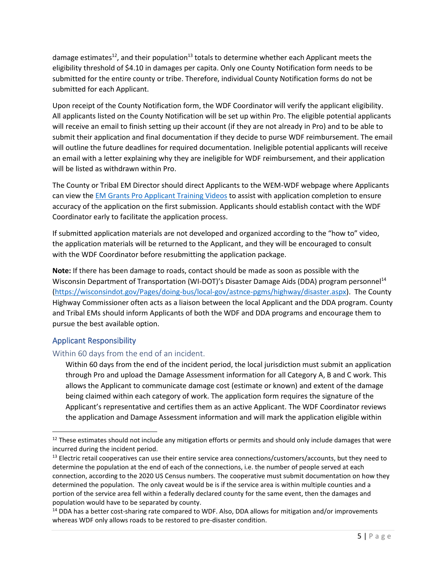damage estimates<sup>12</sup>, and their population<sup>13</sup> totals to determine whether each Applicant meets the eligibility threshold of \$4.10 in damages per capita. Only one County Notification form needs to be submitted for the entire county or tribe. Therefore, individual County Notification forms do not be submitted for each Applicant.

Upon receipt of the County Notification form, the WDF Coordinator will verify the applicant eligibility. All applicants listed on the County Notification will be set up within Pro. The eligible potential applicants will receive an email to finish setting up their account (if they are not already in Pro) and to be able to submit their application and final documentation if they decide to purse WDF reimbursement. The email will outline the future deadlines for required documentation. Ineligible potential applicants will receive an email with a letter explaining why they are ineligible for WDF reimbursement, and their application will be listed as withdrawn within Pro.

The County or Tribal EM Director should direct Applicants to the WEM-WDF webpage where Applicants can view the [EM Grants Pro Applicant Training Videos](https://emgrants.wi.gov/site/training_applicants.cfm) to assist with application completion to ensure accuracy of the application on the first submission. Applicants should establish contact with the WDF Coordinator early to facilitate the application process.

If submitted application materials are not developed and organized according to the "how to" video, the application materials will be returned to the Applicant, and they will be encouraged to consult with the WDF Coordinator before resubmitting the application package.

**Note:** If there has been damage to roads, contact should be made as soon as possible with the Wisconsin Department of Transportation (WI-DOT)'s Disaster Damage Aids (DDA) program personnel<sup>14</sup> [\(https://wisconsindot.gov/Pages/doing-bus/local-gov/astnce-pgms/highway/disaster.aspx\)](https://wisconsindot.gov/Pages/doing-bus/local-gov/astnce-pgms/highway/disaster.aspx). The County Highway Commissioner often acts as a liaison between the local Applicant and the DDA program. County and Tribal EMs should inform Applicants of both the WDF and DDA programs and encourage them to pursue the best available option.

#### <span id="page-5-0"></span>Applicant Responsibility

#### <span id="page-5-1"></span>Within 60 days from the end of an incident.

Within 60 days from the end of the incident period, the local jurisdiction must submit an application through Pro and upload the Damage Assessment information for all Category A, B and C work. This allows the Applicant to communicate damage cost (estimate or known) and extent of the damage being claimed within each category of work. The application form requires the signature of the Applicant's representative and certifies them as an active Applicant. The WDF Coordinator reviews the application and Damage Assessment information and will mark the application eligible within

<sup>&</sup>lt;sup>12</sup> These estimates should not include any mitigation efforts or permits and should only include damages that were incurred during the incident period.

 $13$  Electric retail cooperatives can use their entire service area connections/customers/accounts, but they need to determine the population at the end of each of the connections, i.e. the number of people served at each connection, according to the 2020 US Census numbers. The cooperative must submit documentation on how they determined the population. The only caveat would be is if the service area is within multiple counties and a portion of the service area fell within a federally declared county for the same event, then the damages and population would have to be separated by county.

<sup>&</sup>lt;sup>14</sup> DDA has a better cost-sharing rate compared to WDF. Also, DDA allows for mitigation and/or improvements whereas WDF only allows roads to be restored to pre-disaster condition.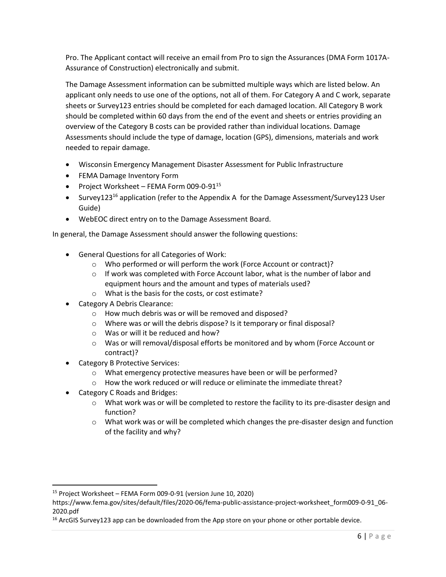Pro. The Applicant contact will receive an email from Pro to sign the Assurances (DMA Form 1017A-Assurance of Construction) electronically and submit.

The Damage Assessment information can be submitted multiple ways which are listed below. An applicant only needs to use one of the options, not all of them. For Category A and C work, separate sheets or Survey123 entries should be completed for each damaged location. All Category B work should be completed within 60 days from the end of the event and sheets or entries providing an overview of the Category B costs can be provided rather than individual locations. Damage Assessments should include the type of damage, location (GPS), dimensions, materials and work needed to repair damage.

- Wisconsin Emergency Management Disaster Assessment for Public Infrastructure
- FEMA Damage Inventory Form
- Project Worksheet FEMA Form 009-0-91<sup>15</sup>
- Survey123<sup>16</sup> application (refer to the Appendix A for the Damage Assessment/Survey123 User Guide)
- WebEOC direct entry on to the Damage Assessment Board.

In general, the Damage Assessment should answer the following questions:

- General Questions for all Categories of Work:
	- o Who performed or will perform the work (Force Account or contract)?
	- $\circ$  If work was completed with Force Account labor, what is the number of labor and equipment hours and the amount and types of materials used?
	- o What is the basis for the costs, or cost estimate?
- Category A Debris Clearance:
	- o How much debris was or will be removed and disposed?
	- o Where was or will the debris dispose? Is it temporary or final disposal?
	- o Was or will it be reduced and how?
	- o Was or will removal/disposal efforts be monitored and by whom (Force Account or contract)?
- Category B Protective Services:
	- o What emergency protective measures have been or will be performed?
	- $\circ$  How the work reduced or will reduce or eliminate the immediate threat?
- Category C Roads and Bridges:
	- $\circ$  What work was or will be completed to restore the facility to its pre-disaster design and function?
	- $\circ$  What work was or will be completed which changes the pre-disaster design and function of the facility and why?

<sup>15</sup> Project Worksheet – FEMA Form 009-0-91 (version June 10, 2020)

https://www.fema.gov/sites/default/files/2020-06/fema-public-assistance-project-worksheet\_form009-0-91\_06- 2020.pdf

 $16$  ArcGIS Survey123 app can be downloaded from the App store on your phone or other portable device.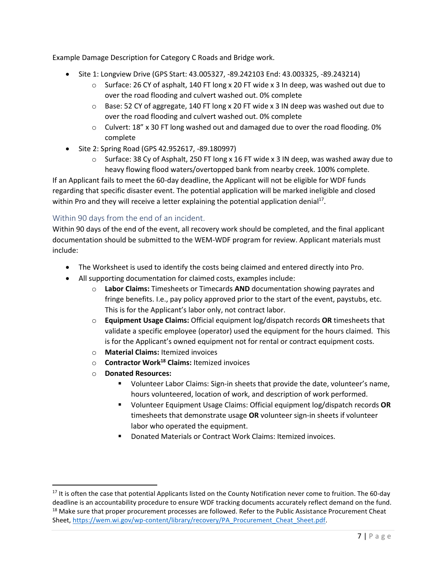Example Damage Description for Category C Roads and Bridge work.

- Site 1: Longview Drive (GPS Start: 43.005327, -89.242103 End: 43.003325, -89.243214)
	- $\circ$  Surface: 26 CY of asphalt, 140 FT long x 20 FT wide x 3 In deep, was washed out due to over the road flooding and culvert washed out. 0% complete
	- $\circ$  Base: 52 CY of aggregate, 140 FT long x 20 FT wide x 3 IN deep was washed out due to over the road flooding and culvert washed out. 0% complete
	- $\circ$  Culvert: 18" x 30 FT long washed out and damaged due to over the road flooding. 0% complete
- Site 2: Spring Road (GPS 42.952617, -89.180997)
	- $\circ$  Surface: 38 Cy of Asphalt, 250 FT long x 16 FT wide x 3 IN deep, was washed away due to heavy flowing flood waters/overtopped bank from nearby creek. 100% complete.

If an Applicant fails to meet the 60-day deadline, the Applicant will not be eligible for WDF funds regarding that specific disaster event. The potential application will be marked ineligible and closed within Pro and they will receive a letter explaining the potential application denial<sup>17</sup>.

#### <span id="page-7-0"></span>Within 90 days from the end of an incident.

Within 90 days of the end of the event, all recovery work should be completed, and the final applicant documentation should be submitted to the WEM-WDF program for review. Applicant materials must include:

- The Worksheet is used to identify the costs being claimed and entered directly into Pro.
- All supporting documentation for claimed costs, examples include:
	- o **Labor Claims:** Timesheets or Timecards **AND** documentation showing payrates and fringe benefits. I.e., pay policy approved prior to the start of the event, paystubs, etc. This is for the Applicant's labor only, not contract labor.
	- o **Equipment Usage Claims:** Official equipment log/dispatch records **OR** timesheets that validate a specific employee (operator) used the equipment for the hours claimed. This is for the Applicant's owned equipment not for rental or contract equipment costs.
	- o **Material Claims:** Itemized invoices
	- o **Contractor Work<sup>18</sup> Claims:** Itemized invoices
	- o **Donated Resources:**
		- Volunteer Labor Claims: Sign-in sheets that provide the date, volunteer's name, hours volunteered, location of work, and description of work performed.
		- Volunteer Equipment Usage Claims: Official equipment log/dispatch records **OR** timesheets that demonstrate usage **OR** volunteer sign-in sheets if volunteer labor who operated the equipment.
		- **Donated Materials or Contract Work Claims: Itemized invoices.**

 $17$  It is often the case that potential Applicants listed on the County Notification never come to fruition. The 60-day deadline is an accountability procedure to ensure WDF tracking documents accurately reflect demand on the fund. <sup>18</sup> Make sure that proper procurement processes are followed. Refer to the Public Assistance Procurement Cheat Sheet, [https://wem.wi.gov/wp-content/library/recovery/PA\\_Procurement\\_Cheat\\_Sheet.pdf.](https://wem.wi.gov/wp-content/library/recovery/PA_Procurement_Cheat_Sheet.pdf)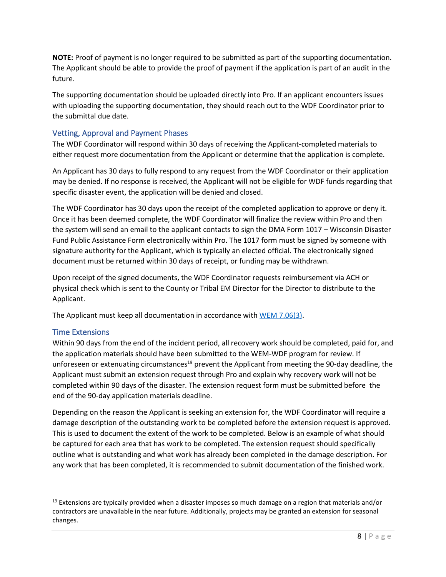**NOTE:** Proof of payment is no longer required to be submitted as part of the supporting documentation. The Applicant should be able to provide the proof of payment if the application is part of an audit in the future.

The supporting documentation should be uploaded directly into Pro. If an applicant encounters issues with uploading the supporting documentation, they should reach out to the WDF Coordinator prior to the submittal due date.

#### <span id="page-8-0"></span>Vetting, Approval and Payment Phases

The WDF Coordinator will respond within 30 days of receiving the Applicant-completed materials to either request more documentation from the Applicant or determine that the application is complete.

An Applicant has 30 days to fully respond to any request from the WDF Coordinator or their application may be denied. If no response is received, the Applicant will not be eligible for WDF funds regarding that specific disaster event, the application will be denied and closed.

The WDF Coordinator has 30 days upon the receipt of the completed application to approve or deny it. Once it has been deemed complete, the WDF Coordinator will finalize the review within Pro and then the system will send an email to the applicant contacts to sign the DMA Form 1017 – Wisconsin Disaster Fund Public Assistance Form electronically within Pro. The 1017 form must be signed by someone with signature authority for the Applicant, which is typically an elected official. The electronically signed document must be returned within 30 days of receipt, or funding may be withdrawn.

Upon receipt of the signed documents, the WDF Coordinator requests reimbursement via ACH or physical check which is sent to the County or Tribal EM Director for the Director to distribute to the Applicant.

The Applicant must keep all documentation in accordance with [WEM 7.06\(3\).](https://docs.legis.wisconsin.gov/code/admin_code/wem/7/06)

#### <span id="page-8-1"></span>Time Extensions

Within 90 days from the end of the incident period, all recovery work should be completed, paid for, and the application materials should have been submitted to the WEM-WDF program for review. If unforeseen or extenuating circumstances<sup>19</sup> prevent the Applicant from meeting the 90-day deadline, the Applicant must submit an extension request through Pro and explain why recovery work will not be completed within 90 days of the disaster. The extension request form must be submitted before the end of the 90-day application materials deadline.

Depending on the reason the Applicant is seeking an extension for, the WDF Coordinator will require a damage description of the outstanding work to be completed before the extension request is approved. This is used to document the extent of the work to be completed. Below is an example of what should be captured for each area that has work to be completed. The extension request should specifically outline what is outstanding and what work has already been completed in the damage description. For any work that has been completed, it is recommended to submit documentation of the finished work.

 $19$  Extensions are typically provided when a disaster imposes so much damage on a region that materials and/or contractors are unavailable in the near future. Additionally, projects may be granted an extension for seasonal changes.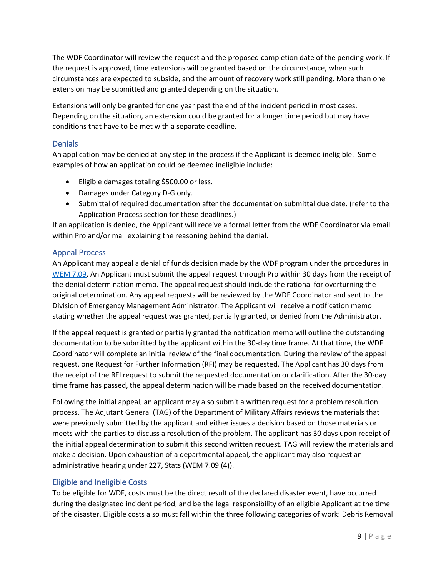The WDF Coordinator will review the request and the proposed completion date of the pending work. If the request is approved, time extensions will be granted based on the circumstance, when such circumstances are expected to subside, and the amount of recovery work still pending. More than one extension may be submitted and granted depending on the situation.

Extensions will only be granted for one year past the end of the incident period in most cases. Depending on the situation, an extension could be granted for a longer time period but may have conditions that have to be met with a separate deadline.

#### <span id="page-9-0"></span>**Denials**

An application may be denied at any step in the process if the Applicant is deemed ineligible. Some examples of how an application could be deemed ineligible include:

- Eligible damages totaling \$500.00 or less.
- Damages under Category D-G only.
- Submittal of required documentation after the documentation submittal due date. (refer to the Application Process section for these deadlines.)

If an application is denied, the Applicant will receive a formal letter from the WDF Coordinator via email within Pro and/or mail explaining the reasoning behind the denial.

#### <span id="page-9-1"></span>Appeal Process

An Applicant may appeal a denial of funds decision made by the WDF program under the procedures in [WEM 7.09.](https://docs.legis.wisconsin.gov/code/admin_code/wem/7/09) An Applicant must submit the appeal request through Pro within 30 days from the receipt of the denial determination memo. The appeal request should include the rational for overturning the original determination. Any appeal requests will be reviewed by the WDF Coordinator and sent to the Division of Emergency Management Administrator. The Applicant will receive a notification memo stating whether the appeal request was granted, partially granted, or denied from the Administrator.

If the appeal request is granted or partially granted the notification memo will outline the outstanding documentation to be submitted by the applicant within the 30-day time frame. At that time, the WDF Coordinator will complete an initial review of the final documentation. During the review of the appeal request, one Request for Further Information (RFI) may be requested. The Applicant has 30 days from the receipt of the RFI request to submit the requested documentation or clarification. After the 30-day time frame has passed, the appeal determination will be made based on the received documentation.

Following the initial appeal, an applicant may also submit a written request for a problem resolution process. The Adjutant General (TAG) of the Department of Military Affairs reviews the materials that were previously submitted by the applicant and either issues a decision based on those materials or meets with the parties to discuss a resolution of the problem. The applicant has 30 days upon receipt of the initial appeal determination to submit this second written request. TAG will review the materials and make a decision. Upon exhaustion of a departmental appeal, the applicant may also request an administrative hearing under 227, Stats (WEM 7.09 (4)).

#### <span id="page-9-2"></span>Eligible and Ineligible Costs

To be eligible for WDF, costs must be the direct result of the declared disaster event, have occurred during the designated incident period, and be the legal responsibility of an eligible Applicant at the time of the disaster. Eligible costs also must fall within the three following categories of work: Debris Removal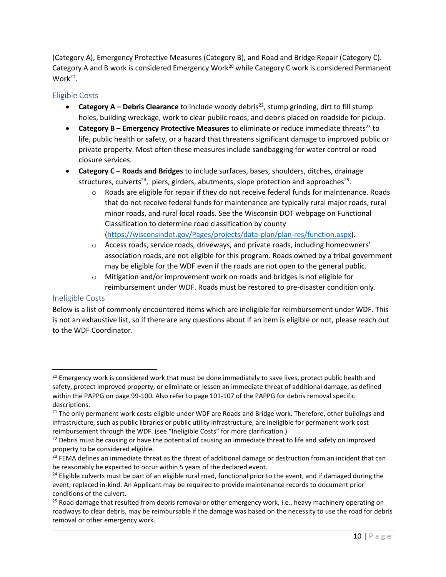(Category A), Emergency Protective Measures (Category B), and Road and Bridge Repair (Category C). Category A and B work is considered Emergency Work<sup>20</sup> while Category C work is considered Permanent Work<sup>21</sup>.

#### <span id="page-10-0"></span>Eligible Costs

- **Category A Debris Clearance** to include woody debris<sup>22</sup>, stump grinding, dirt to fill stump holes, building wreckage, work to clear public roads, and debris placed on roadside for pickup.
- **Category B Emergency Protective Measures** to eliminate or reduce immediate threats<sup>23</sup> to life, public health or safety, or a hazard that threatens significant damage to improved public or private property. Most often these measures include sandbagging for water control or road closure services.
- **Category C – Roads and Bridges** to include surfaces, bases, shoulders, ditches, drainage structures, culverts<sup>24</sup>, piers, girders, abutments, slope protection and approaches<sup>25</sup>.
	- o Roads are eligible for repair if they do not receive federal funds for maintenance. Roads that do not receive federal funds for maintenance are typically rural major roads, rural minor roads, and rural local roads. See the Wisconsin DOT webpage on Functional Classification to determine road classification by county [\(https://wisconsindot.gov/Pages/projects/data-plan/plan-res/function.aspx\)](https://wisconsindot.gov/Pages/projects/data-plan/plan-res/function.aspx).
	- o Access roads, service roads, driveways, and private roads, including homeowners' association roads, are not eligible for this program. Roads owned by a tribal government may be eligible for the WDF even if the roads are not open to the general public.
	- o Mitigation and/or improvement work on roads and bridges is not eligible for reimbursement under WDF. Roads must be restored to pre-disaster condition only.

#### <span id="page-10-1"></span>Ineligible Costs

Below is a list of commonly encountered items which are ineligible for reimbursement under WDF. This is not an exhaustive list, so if there are any questions about if an item is eligible or not, please reach out to the WDF Coordinator.

<sup>&</sup>lt;sup>20</sup> Emergency work is considered work that must be done immediately to save lives, protect public health and safety, protect improved property, or eliminate or lessen an immediate threat of additional damage, as defined within the PAPPG on page 99-100. Also refer to page 101-107 of the PAPPG for debris removal specific descriptions.

<sup>&</sup>lt;sup>21</sup> The only permanent work costs eligible under WDF are Roads and Bridge work. Therefore, other buildings and infrastructure, such as public libraries or public utility infrastructure, are ineligible for permanent work cost reimbursement through the WDF. (see "Ineligible Costs" for more clarification.)

<sup>&</sup>lt;sup>22</sup> Debris must be causing or have the potential of causing an immediate threat to life and safety on improved property to be considered eligible.

 $23$  FEMA defines an immediate threat as the threat of additional damage or destruction from an incident that can be reasonably be expected to occur within 5 years of the declared event.

<sup>&</sup>lt;sup>24</sup> Eligible culverts must be part of an eligible rural road, functional prior to the event, and if damaged during the event, replaced in-kind. An Applicant may be required to provide maintenance records to document prior conditions of the culvert.

<sup>&</sup>lt;sup>25</sup> Road damage that resulted from debris removal or other emergency work, i.e., heavy machinery operating on roadways to clear debris, may be reimbursable if the damage was based on the necessity to use the road for debris removal or other emergency work.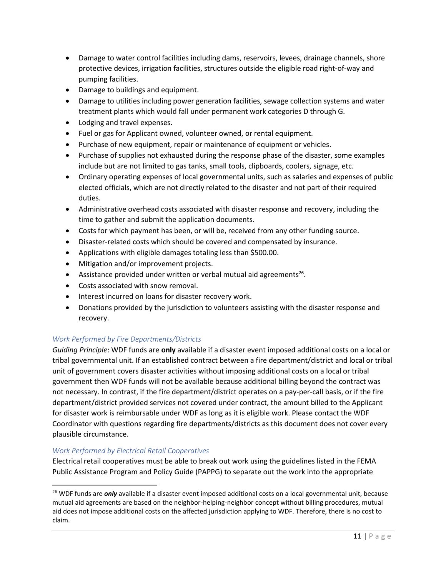- Damage to water control facilities including dams, reservoirs, levees, drainage channels, shore protective devices, irrigation facilities, structures outside the eligible road right-of-way and pumping facilities.
- Damage to buildings and equipment.
- Damage to utilities including power generation facilities, sewage collection systems and water treatment plants which would fall under permanent work categories D through G.
- Lodging and travel expenses.
- Fuel or gas for Applicant owned, volunteer owned, or rental equipment.
- Purchase of new equipment, repair or maintenance of equipment or vehicles.
- Purchase of supplies not exhausted during the response phase of the disaster, some examples include but are not limited to gas tanks, small tools, clipboards, coolers, signage, etc.
- Ordinary operating expenses of local governmental units, such as salaries and expenses of public elected officials, which are not directly related to the disaster and not part of their required duties.
- Administrative overhead costs associated with disaster response and recovery, including the time to gather and submit the application documents.
- Costs for which payment has been, or will be, received from any other funding source.
- Disaster-related costs which should be covered and compensated by insurance.
- Applications with eligible damages totaling less than \$500.00.
- Mitigation and/or improvement projects.
- Assistance provided under written or verbal mutual aid agreements<sup>26</sup>.
- Costs associated with snow removal.
- Interest incurred on loans for disaster recovery work.
- Donations provided by the jurisdiction to volunteers assisting with the disaster response and recovery.

#### *Work Performed by Fire Departments/Districts*

*Guiding Principle*: WDF funds are **only** available if a disaster event imposed additional costs on a local or tribal governmental unit. If an established contract between a fire department/district and local or tribal unit of government covers disaster activities without imposing additional costs on a local or tribal government then WDF funds will not be available because additional billing beyond the contract was not necessary. In contrast, if the fire department/district operates on a pay-per-call basis, or if the fire department/district provided services not covered under contract, the amount billed to the Applicant for disaster work is reimbursable under WDF as long as it is eligible work. Please contact the WDF Coordinator with questions regarding fire departments/districts as this document does not cover every plausible circumstance.

#### *Work Performed by Electrical Retail Cooperatives*

Electrical retail cooperatives must be able to break out work using the guidelines listed in the FEMA Public Assistance Program and Policy Guide (PAPPG) to separate out the work into the appropriate

<sup>&</sup>lt;sup>26</sup> WDF funds are *only* available if a disaster event imposed additional costs on a local governmental unit, because mutual aid agreements are based on the neighbor-helping-neighbor concept without billing procedures, mutual aid does not impose additional costs on the affected jurisdiction applying to WDF. Therefore, there is no cost to claim.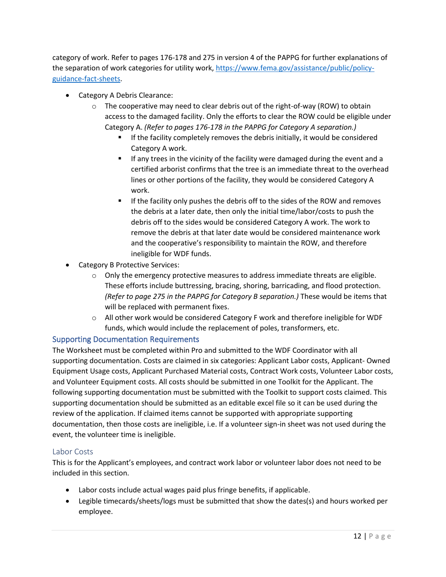category of work. Refer to pages 176-178 and 275 in version 4 of the PAPPG for further explanations of the separation of work categories for utility work, [https://www.fema.gov/assistance/public/policy](https://www.fema.gov/assistance/public/policy-guidance-fact-sheets)[guidance-fact-sheets.](https://www.fema.gov/assistance/public/policy-guidance-fact-sheets)

- Category A Debris Clearance:
	- $\circ$  The cooperative may need to clear debris out of the right-of-way (ROW) to obtain access to the damaged facility. Only the efforts to clear the ROW could be eligible under Category A. *(Refer to pages 176-178 in the PAPPG for Category A separation.)*
		- If the facility completely removes the debris initially, it would be considered Category A work.
		- **EXT** If any trees in the vicinity of the facility were damaged during the event and a certified arborist confirms that the tree is an immediate threat to the overhead lines or other portions of the facility, they would be considered Category A work.
		- **■** If the facility only pushes the debris off to the sides of the ROW and removes the debris at a later date, then only the initial time/labor/costs to push the debris off to the sides would be considered Category A work. The work to remove the debris at that later date would be considered maintenance work and the cooperative's responsibility to maintain the ROW, and therefore ineligible for WDF funds.
- Category B Protective Services:
	- $\circ$  Only the emergency protective measures to address immediate threats are eligible. These efforts include buttressing, bracing, shoring, barricading, and flood protection. *(Refer to page 275 in the PAPPG for Category B separation.)* These would be items that will be replaced with permanent fixes.
	- $\circ$  All other work would be considered Category F work and therefore ineligible for WDF funds, which would include the replacement of poles, transformers, etc.

#### <span id="page-12-0"></span>Supporting Documentation Requirements

The Worksheet must be completed within Pro and submitted to the WDF Coordinator with all supporting documentation. Costs are claimed in six categories: Applicant Labor costs, Applicant- Owned Equipment Usage costs, Applicant Purchased Material costs, Contract Work costs, Volunteer Labor costs, and Volunteer Equipment costs. All costs should be submitted in one Toolkit for the Applicant. The following supporting documentation must be submitted with the Toolkit to support costs claimed. This supporting documentation should be submitted as an editable excel file so it can be used during the review of the application. If claimed items cannot be supported with appropriate supporting documentation, then those costs are ineligible, i.e. If a volunteer sign-in sheet was not used during the event, the volunteer time is ineligible.

#### <span id="page-12-1"></span>Labor Costs

This is for the Applicant's employees, and contract work labor or volunteer labor does not need to be included in this section.

- Labor costs include actual wages paid plus fringe benefits, if applicable.
- Legible timecards/sheets/logs must be submitted that show the dates(s) and hours worked per employee.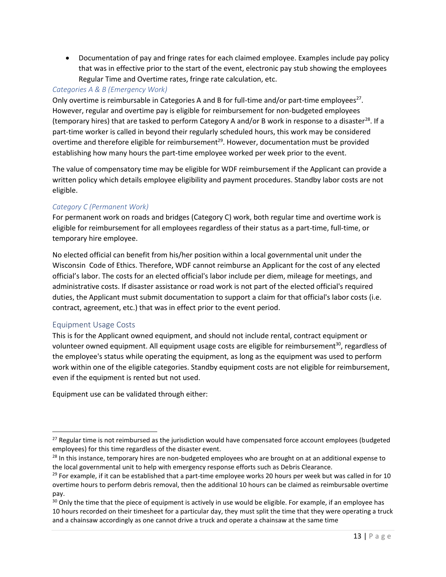• Documentation of pay and fringe rates for each claimed employee. Examples include pay policy that was in effective prior to the start of the event, electronic pay stub showing the employees Regular Time and Overtime rates, fringe rate calculation, etc.

#### *Categories A & B (Emergency Work)*

Only overtime is reimbursable in Categories A and B for full-time and/or part-time employees<sup>27</sup>. However, regular and overtime pay is eligible for reimbursement for non-budgeted employees (temporary hires) that are tasked to perform Category A and/or B work in response to a disaster<sup>28</sup>. If a part-time worker is called in beyond their regularly scheduled hours, this work may be considered overtime and therefore eligible for reimbursement<sup>29</sup>. However, documentation must be provided establishing how many hours the part-time employee worked per week prior to the event.

The value of compensatory time may be eligible for WDF reimbursement if the Applicant can provide a written policy which details employee eligibility and payment procedures. Standby labor costs are not eligible.

#### *Category C (Permanent Work)*

For permanent work on roads and bridges (Category C) work, both regular time and overtime work is eligible for reimbursement for all employees regardless of their status as a part-time, full-time, or temporary hire employee.

No elected official can benefit from his/her position within a local governmental unit under the Wisconsin Code of Ethics. Therefore, WDF cannot reimburse an Applicant for the cost of any elected official's labor. The costs for an elected official's labor include per diem, mileage for meetings, and administrative costs. If disaster assistance or road work is not part of the elected official's required duties, the Applicant must submit documentation to support a claim for that official's labor costs (i.e. contract, agreement, etc.) that was in effect prior to the event period.

#### <span id="page-13-0"></span>Equipment Usage Costs

This is for the Applicant owned equipment, and should not include rental, contract equipment or volunteer owned equipment. All equipment usage costs are eligible for reimbursement $30$ , regardless of the employee's status while operating the equipment, as long as the equipment was used to perform work within one of the eligible categories. Standby equipment costs are not eligible for reimbursement, even if the equipment is rented but not used.

Equipment use can be validated through either:

<sup>&</sup>lt;sup>27</sup> Regular time is not reimbursed as the jurisdiction would have compensated force account employees (budgeted employees) for this time regardless of the disaster event.

 $28$  In this instance, temporary hires are non-budgeted employees who are brought on at an additional expense to the local governmental unit to help with emergency response efforts such as Debris Clearance.

 $29$  For example, if it can be established that a part-time employee works 20 hours per week but was called in for 10 overtime hours to perform debris removal, then the additional 10 hours can be claimed as reimbursable overtime pay.

<sup>&</sup>lt;sup>30</sup> Only the time that the piece of equipment is actively in use would be eligible. For example, if an employee has 10 hours recorded on their timesheet for a particular day, they must split the time that they were operating a truck and a chainsaw accordingly as one cannot drive a truck and operate a chainsaw at the same time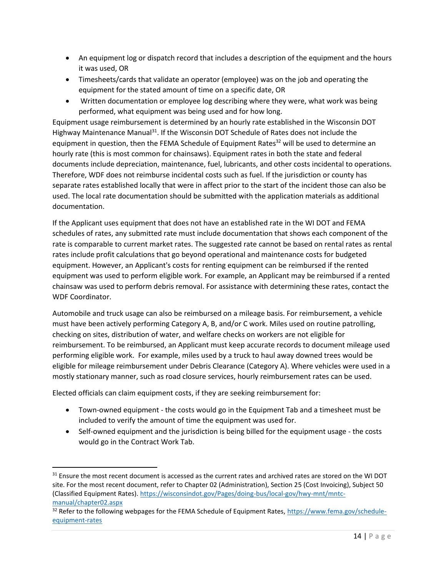- An equipment log or dispatch record that includes a description of the equipment and the hours it was used, OR
- Timesheets/cards that validate an operator (employee) was on the job and operating the equipment for the stated amount of time on a specific date, OR
- Written documentation or employee log describing where they were, what work was being performed, what equipment was being used and for how long.

Equipment usage reimbursement is determined by an hourly rate established in the Wisconsin DOT Highway Maintenance Manual<sup>31</sup>. If the Wisconsin DOT Schedule of Rates does not include the equipment in question, then the FEMA Schedule of Equipment Rates<sup>32</sup> will be used to determine an hourly rate (this is most common for chainsaws). Equipment rates in both the state and federal documents include depreciation, maintenance, fuel, lubricants, and other costs incidental to operations. Therefore, WDF does not reimburse incidental costs such as fuel. If the jurisdiction or county has separate rates established locally that were in affect prior to the start of the incident those can also be used. The local rate documentation should be submitted with the application materials as additional documentation.

If the Applicant uses equipment that does not have an established rate in the WI DOT and FEMA schedules of rates, any submitted rate must include documentation that shows each component of the rate is comparable to current market rates. The suggested rate cannot be based on rental rates as rental rates include profit calculations that go beyond operational and maintenance costs for budgeted equipment. However, an Applicant's costs for renting equipment can be reimbursed if the rented equipment was used to perform eligible work. For example, an Applicant may be reimbursed if a rented chainsaw was used to perform debris removal. For assistance with determining these rates, contact the WDF Coordinator.

Automobile and truck usage can also be reimbursed on a mileage basis. For reimbursement, a vehicle must have been actively performing Category A, B, and/or C work. Miles used on routine patrolling, checking on sites, distribution of water, and welfare checks on workers are not eligible for reimbursement. To be reimbursed, an Applicant must keep accurate records to document mileage used performing eligible work. For example, miles used by a truck to haul away downed trees would be eligible for mileage reimbursement under Debris Clearance (Category A). Where vehicles were used in a mostly stationary manner, such as road closure services, hourly reimbursement rates can be used.

Elected officials can claim equipment costs, if they are seeking reimbursement for:

- Town-owned equipment the costs would go in the Equipment Tab and a timesheet must be included to verify the amount of time the equipment was used for.
- Self-owned equipment and the jurisdiction is being billed for the equipment usage the costs would go in the Contract Work Tab.

<sup>&</sup>lt;sup>31</sup> Ensure the most recent document is accessed as the current rates and archived rates are stored on the WI DOT site. For the most recent document, refer to Chapter 02 (Administration), Section 25 (Cost Invoicing), Subject 50 (Classified Equipment Rates). [https://wisconsindot.gov/Pages/doing-bus/local-gov/hwy-mnt/mntc](https://wisconsindot.gov/Pages/doing-bus/local-gov/hwy-mnt/mntc-manual/chapter02.aspx)[manual/chapter02.aspx](https://wisconsindot.gov/Pages/doing-bus/local-gov/hwy-mnt/mntc-manual/chapter02.aspx)

<sup>&</sup>lt;sup>32</sup> Refer to the following webpages for the FEMA Schedule of Equipment Rates, [https://www.fema.gov/schedule](https://www.fema.gov/schedule-equipment-rates)[equipment-rates](https://www.fema.gov/schedule-equipment-rates)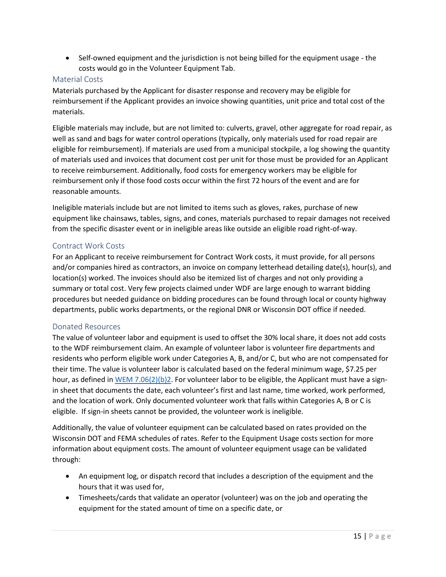• Self-owned equipment and the jurisdiction is not being billed for the equipment usage - the costs would go in the Volunteer Equipment Tab.

#### <span id="page-15-0"></span>Material Costs

Materials purchased by the Applicant for disaster response and recovery may be eligible for reimbursement if the Applicant provides an invoice showing quantities, unit price and total cost of the materials.

Eligible materials may include, but are not limited to: culverts, gravel, other aggregate for road repair, as well as sand and bags for water control operations (typically, only materials used for road repair are eligible for reimbursement). If materials are used from a municipal stockpile, a log showing the quantity of materials used and invoices that document cost per unit for those must be provided for an Applicant to receive reimbursement. Additionally, food costs for emergency workers may be eligible for reimbursement only if those food costs occur within the first 72 hours of the event and are for reasonable amounts.

Ineligible materials include but are not limited to items such as gloves, rakes, purchase of new equipment like chainsaws, tables, signs, and cones, materials purchased to repair damages not received from the specific disaster event or in ineligible areas like outside an eligible road right-of-way.

#### Contract Work Costs

For an Applicant to receive reimbursement for Contract Work costs, it must provide, for all persons and/or companies hired as contractors, an invoice on company letterhead detailing date(s), hour(s), and location(s) worked. The invoices should also be itemized list of charges and not only providing a summary or total cost. Very few projects claimed under WDF are large enough to warrant bidding procedures but needed guidance on bidding procedures can be found through local or county highway departments, public works departments, or the regional DNR or Wisconsin DOT office if needed.

#### <span id="page-15-1"></span>Donated Resources

The value of volunteer labor and equipment is used to offset the 30% local share, it does not add costs to the WDF reimbursement claim. An example of volunteer labor is volunteer fire departments and residents who perform eligible work under Categories A, B, and/or C, but who are not compensated for their time. The value is volunteer labor is calculated based on the federal minimum wage, \$7.25 per hour, as defined in [WEM 7.06\(2\)\(b\)2.](https://docs.legis.wisconsin.gov/document/administrativecode/WEM%207.06(2)(b)2.) For volunteer labor to be eligible, the Applicant must have a signin sheet that documents the date, each volunteer's first and last name, time worked, work performed, and the location of work. Only documented volunteer work that falls within Categories A, B or C is eligible. If sign-in sheets cannot be provided, the volunteer work is ineligible.

Additionally, the value of volunteer equipment can be calculated based on rates provided on the Wisconsin DOT and FEMA schedules of rates. Refer to the Equipment Usage costs section for more information about equipment costs. The amount of volunteer equipment usage can be validated through:

- An equipment log, or dispatch record that includes a description of the equipment and the hours that it was used for,
- Timesheets/cards that validate an operator (volunteer) was on the job and operating the equipment for the stated amount of time on a specific date, or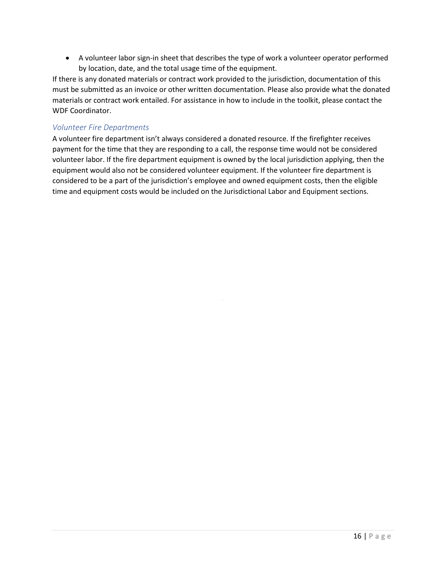• A volunteer labor sign-in sheet that describes the type of work a volunteer operator performed by location, date, and the total usage time of the equipment.

If there is any donated materials or contract work provided to the jurisdiction, documentation of this must be submitted as an invoice or other written documentation. Please also provide what the donated materials or contract work entailed. For assistance in how to include in the toolkit, please contact the WDF Coordinator.

#### *Volunteer Fire Departments*

A volunteer fire department isn't always considered a donated resource. If the firefighter receives payment for the time that they are responding to a call, the response time would not be considered volunteer labor. If the fire department equipment is owned by the local jurisdiction applying, then the equipment would also not be considered volunteer equipment. If the volunteer fire department is considered to be a part of the jurisdiction's employee and owned equipment costs, then the eligible time and equipment costs would be included on the Jurisdictional Labor and Equipment sections.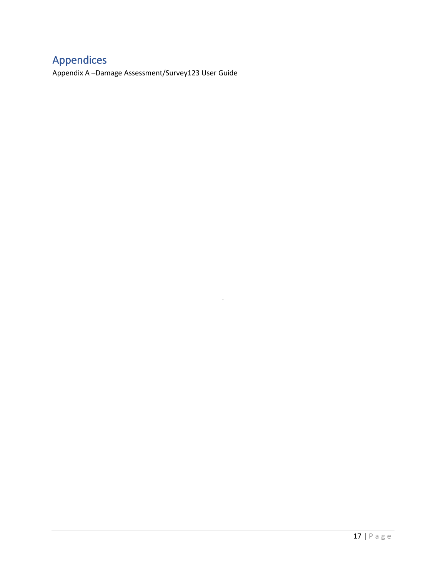## <span id="page-17-0"></span>Appendices

Appendix A –Damage Assessment/Survey123 User Guide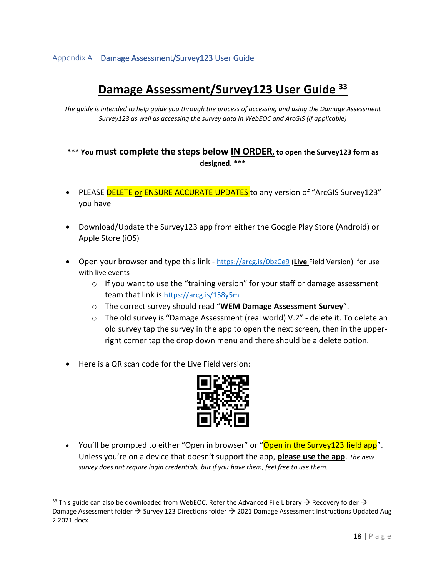#### <span id="page-18-0"></span>Appendix A – Damage Assessment/Survey123 User Guide

## **Damage Assessment/Survey123 User Guide <sup>33</sup>**

*The guide is intended to help guide you through the process of accessing and using the Damage Assessment Survey123 as well as accessing the survey data in WebEOC and ArcGIS (if applicable)*

#### **\*\*\* You must complete the steps below IN ORDER, to open the Survey123 form as designed. \*\*\***

- PLEASE DELETE or ENSURE ACCURATE UPDATES to any version of "ArcGIS Survey123" you have
- Download/Update the Survey123 app from either the Google Play Store (Android) or Apple Store (iOS)
- Open your browser and type this link <https://arcg.is/0bzCe9> (**Live** Field Version) for use with live events
	- o If you want to use the "training version" for your staff or damage assessment team that link is <https://arcg.is/158y5m>
	- o The correct survey should read "**WEM Damage Assessment Survey**".
	- $\circ$  The old survey is "Damage Assessment (real world) V.2" delete it. To delete an old survey tap the survey in the app to open the next screen, then in the upperright corner tap the drop down menu and there should be a delete option.
- Here is a QR scan code for the Live Field version:



• You'll be prompted to either "Open in browser" or "Open in the Survey123 field app". Unless you're on a device that doesn't support the app, **please use the app**. *The new survey does not require login credentials, but if you have them, feel free to use them.* 

<sup>&</sup>lt;sup>33</sup> This guide can also be downloaded from WebEOC. Refer the Advanced File Library  $\rightarrow$  Recovery folder  $\rightarrow$ Damage Assessment folder  $\rightarrow$  Survey 123 Directions folder  $\rightarrow$  2021 Damage Assessment Instructions Updated Aug 2 2021.docx.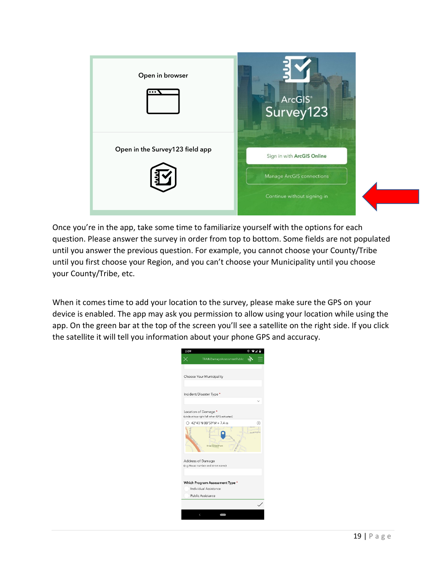

Once you're in the app, take some time to familiarize yourself with the options for each question. Please answer the survey in order from top to bottom. Some fields are not populated until you answer the previous question. For example, you cannot choose your County/Tribe until you first choose your Region, and you can't choose your Municipality until you choose your County/Tribe, etc.

When it comes time to add your location to the survey, please make sure the GPS on your device is enabled. The app may ask you permission to allow using your location while using the app. On the green bar at the top of the screen you'll see a satellite on the right side. If you click the satellite it will tell you information about your phone GPS and accuracy.

| 2:09 |                                                                       | 0<br>4            |
|------|-----------------------------------------------------------------------|-------------------|
|      | TRAINDamageAssessmentPublic                                           |                   |
|      |                                                                       |                   |
|      | Choose Your Municipality                                              |                   |
|      | Incident/Disaster Type *                                              |                   |
|      |                                                                       |                   |
|      | Location of Damage *<br>(circle at top right full when GPS activated) |                   |
|      | ○ 42°43'N 88°59'W ± 7.4 m                                             | R                 |
|      | <b>Briar Crest Park</b>                                               | <b>Huntington</b> |
|      | Address of Damage<br>(e.g House number and street name)               |                   |
|      | Which Program Assessment Type *                                       |                   |
|      | Individual Assistance                                                 |                   |
|      | Public Assistance                                                     |                   |
|      |                                                                       |                   |
|      | $\overline{\phantom{a}}$                                              |                   |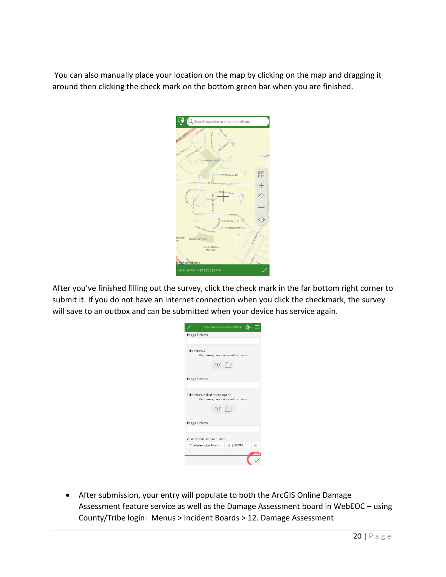You can also manually place your location on the map by clicking on the map and dragging it around then clicking the check mark on the bottom green bar when you are finished.

|                               |                                          | C Search location or map coordinate |        |
|-------------------------------|------------------------------------------|-------------------------------------|--------|
| Alton Ave                     | Woodga<br>Huntinghorne                   | Poctana.o                           |        |
| Tanglewood pr<br>For Hills Dr | <b>Woodcrest Park</b>                    |                                     | Dorado |
|                               |                                          | Candlewood Dr                       | 昭岡     |
| o Aunguleo                    | E Rotamer Rd                             | Ne<br>castle-Dr                     |        |
|                               | <b>Buckingham</b> Dr                     | Brian <sub>C</sub><br>Cricketeer-Dr |        |
| lospital<br>rth               | Westminster Rd<br><b>Briarcrest Park</b> | Sheffield Dr                        |        |
|                               | <b>United States</b><br>Marines          |                                     |        |
| <b>Cari</b> contributors      |                                          |                                     | Loh    |

After you've finished filling out the survey, click the check mark in the far bottom right corner to submit it. If you do not have an internet connection when you click the checkmark, the survey will save to an outbox and can be submitted when your device has service again.

| Image 3 Name<br>Take Photo 4<br>Capture using camera or upload from device<br>[o 门<br>Image 4 Name<br>Take Photo 5 (last photo option)<br>Capture using camera or upload from device<br>- to a<br>Image 5 Name<br>Assessment Date and Time<br>Wednesday, May 1  3:52 PM<br>60 | TRAINDamageAssessmentPublic |
|-------------------------------------------------------------------------------------------------------------------------------------------------------------------------------------------------------------------------------------------------------------------------------|-----------------------------|
|                                                                                                                                                                                                                                                                               |                             |
|                                                                                                                                                                                                                                                                               |                             |
|                                                                                                                                                                                                                                                                               |                             |
|                                                                                                                                                                                                                                                                               |                             |
|                                                                                                                                                                                                                                                                               |                             |
|                                                                                                                                                                                                                                                                               |                             |
|                                                                                                                                                                                                                                                                               |                             |
|                                                                                                                                                                                                                                                                               |                             |
|                                                                                                                                                                                                                                                                               |                             |
|                                                                                                                                                                                                                                                                               |                             |
|                                                                                                                                                                                                                                                                               |                             |
|                                                                                                                                                                                                                                                                               |                             |
|                                                                                                                                                                                                                                                                               |                             |

• After submission, your entry will populate to both the ArcGIS Online Damage Assessment feature service as well as the Damage Assessment board in WebEOC – using County/Tribe login: Menus > Incident Boards > 12. Damage Assessment